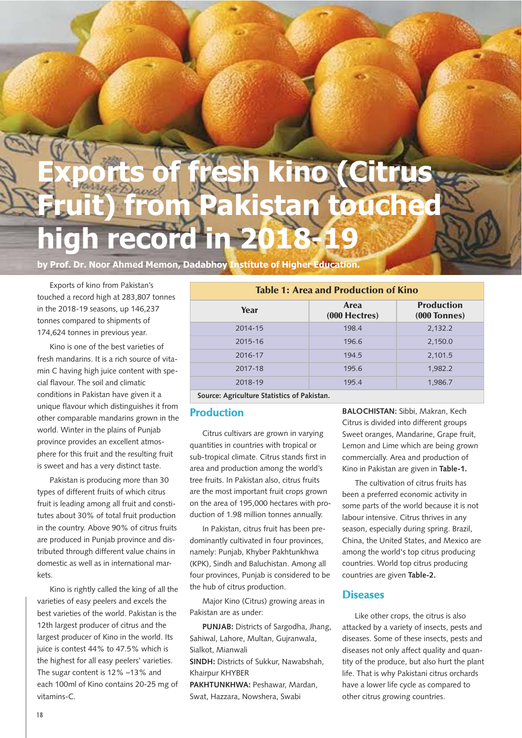# **Exports of fresh kino (Citrus** tan touche **high record in 2018-19**

**by Prof. Dr. Noor Ahmed Memon, Dadabhoy Institute of Higher Education.**

Exports of kino from Pakistan's touched a record high at 283,807 tonnes in the 2018-19 seasons, up 146,237 tonnes compared to shipments of 174,624 tonnes in previous year.

Kino is one of the best varieties of fresh mandarins. It is a rich source of vitamin C having high juice content with special flavour. The soil and climatic conditions in Pakistan have given it a unique flavour which distinguishes it from other comparable mandarins grown in the world. Winter in the plains of Punjab province provides an excellent atmosphere for this fruit and the resulting fruit is sweet and has a very distinct taste.

Pakistan is producing more than 30 types of different fruits of which citrus fruit is leading among all fruit and constitutes about 30% of total fruit production in the country. Above 90% of citrus fruits are produced in Punjab province and distributed through different value chains in domestic as well as in international markets.

Kino is rightly called the king of all the varieties of easy peelers and excels the best varieties of the world. Pakistan is the 12th largest producer of citrus and the largest producer of Kino in the world. Its juice is contest 44% to 47.5% which is the highest for all easy peelers' varieties. The sugar content is 12% –13% and each 100ml of Kino contains 20-25 mg of vitamins-C.

| <b>Table 1: Area and Production of Kino</b> |                       |                                     |  |  |
|---------------------------------------------|-----------------------|-------------------------------------|--|--|
| Year                                        | Area<br>(000 Hectres) | <b>Production</b><br>$(000$ Tonnes) |  |  |
| 2014-15                                     | 198.4                 | 2,132.2                             |  |  |
| 2015-16                                     | 196.6                 | 2,150.0                             |  |  |
| 2016-17                                     | 194.5                 | 2,101.5                             |  |  |
| 2017-18                                     | 195.6                 | 1.982.2                             |  |  |
| 2018-19                                     | 195.4                 | 1,986.7                             |  |  |
| Caussa: Agriculture Chatieties of Delictes  |                       |                                     |  |  |

**Source: Agriculture Statistics of Pakistan.**

#### **Production**

Citrus cultivars are grown in varying quantities in countries with tropical or sub-tropical climate. Citrus stands first in area and production among the world's tree fruits. In Pakistan also, citrus fruits are the most important fruit crops grown on the area of 195,000 hectares with production of 1.98 million tonnes annually.

In Pakistan, citrus fruit has been predominantly cultivated in four provinces, namely: Punjab, Khyber Pakhtunkhwa (KPK), Sindh and Baluchistan. Among all four provinces, Punjab is considered to be the hub of citrus production.

Major Kino (Citrus) growing areas in Pakistan are as under:

**PUNJAB:** Districts of Sargodha, Jhang, Sahiwal, Lahore, Multan, Gujranwala, Sialkot, Mianwali **SINDH:** Districts of Sukkur, Nawabshah, Khairpur KHYBER **PAKHTUNKHWA:** Peshawar, Mardan, Swat, Hazzara, Nowshera, Swabi

**BALOCHISTAN:** Sibbi, Makran, Kech Citrus is divided into different groups Sweet oranges, Mandarine, Grape fruit, Lemon and Lime which are being grown commercially. Area and production of Kino in Pakistan are given in **Table-1.**

The cultivation of citrus fruits has been a preferred economic activity in some parts of the world because it is not labour intensive. Citrus thrives in any season, especially during spring. Brazil, China, the United States, and Mexico are among the world's top citrus producing countries. World top citrus producing countries are given **Table-2.**

#### **Diseases**

Like other crops, the citrus is also attacked by a variety of insects, pests and diseases. Some of these insects, pests and diseases not only affect quality and quantity of the produce, but also hurt the plant life. That is why Pakistani citrus orchards have a lower life cycle as compared to other citrus growing countries.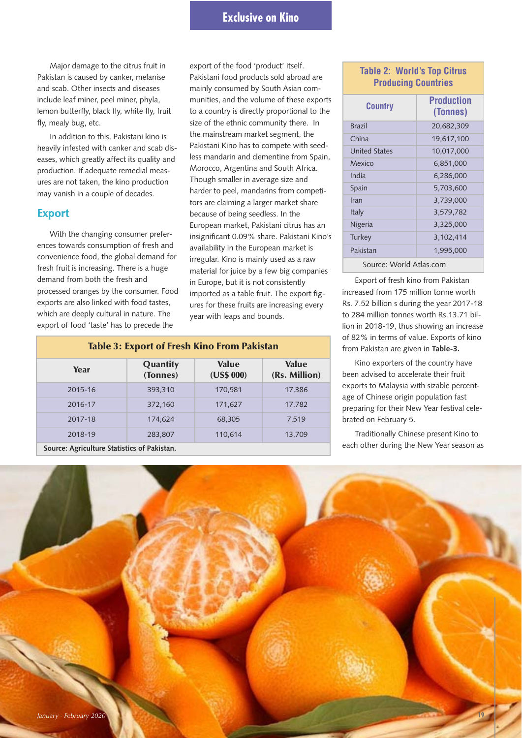# **Exclusive on Kino**

Major damage to the citrus fruit in Pakistan is caused by canker, melanise and scab. Other insects and diseases include leaf miner, peel miner, phyla, lemon butterfly, black fly, white fly, fruit fly, mealy bug, etc.

In addition to this, Pakistani kino is heavily infested with canker and scab diseases, which greatly affect its quality and production. If adequate remedial measures are not taken, the kino production may vanish in a couple of decades.

#### **Export**

With the changing consumer preferences towards consumption of fresh and convenience food, the global demand for fresh fruit is increasing. There is a huge demand from both the fresh and processed oranges by the consumer. Food exports are also linked with food tastes, which are deeply cultural in nature. The export of food 'taste' has to precede the

export of the food 'product' itself. Pakistani food products sold abroad are mainly consumed by South Asian communities, and the volume of these exports to a country is directly proportional to the size of the ethnic community there. In the mainstream market segment, the Pakistani Kino has to compete with seedless mandarin and clementine from Spain, Morocco, Argentina and South Africa. Though smaller in average size and harder to peel, mandarins from competitors are claiming a larger market share because of being seedless. In the European market, Pakistani citrus has an insignificant 0.09% share. Pakistani Kino's availability in the European market is irregular. Kino is mainly used as a raw material for juice by a few big companies in Europe, but it is not consistently imported as a table fruit. The export figures for these fruits are increasing every year with leaps and bounds.

#### **Table 3: Export of Fresh Kino From Pakistan Year Quantity (Tonnes) Value (US\$ 000) Value (Rs. Million)** 2015-16 393,310 170,581 17,386 2016-17 372,160 171,627 17,782 2017-18 174,624 68,305 7,519 2018-19 283,807 110,614 13,709

#### **Table 2: World's Top Citrus Producing Countries**

| Country                 | <b>Production</b><br>(Tonnes) |  |  |
|-------------------------|-------------------------------|--|--|
| <b>Brazil</b>           | 20,682,309                    |  |  |
| China                   | 19,617,100                    |  |  |
| United States           | 10,017,000                    |  |  |
| Mexico                  | 6,851,000                     |  |  |
| India                   | 6,286,000                     |  |  |
| Spain                   | 5,703,600                     |  |  |
| Iran                    | 3,739,000                     |  |  |
| <b>Italy</b>            | 3,579,782                     |  |  |
| Nigeria                 | 3,325,000                     |  |  |
| Turkey                  | 3,102,414                     |  |  |
| Pakistan                | 1,995,000                     |  |  |
| Source: World Atlas.com |                               |  |  |

Export of fresh kino from Pakistan increased from 175 million tonne worth Rs. 7.52 billion s during the year 2017-18 to 284 million tonnes worth Rs.13.71 billion in 2018-19, thus showing an increase of 82% in terms of value. Exports of kino from Pakistan are given in **Table-3.**

Kino exporters of the country have been advised to accelerate their fruit exports to Malaysia with sizable percentage of Chinese origin population fast preparing for their New Year festival celebrated on February 5.

Traditionally Chinese present Kino to each other during the New Year season as